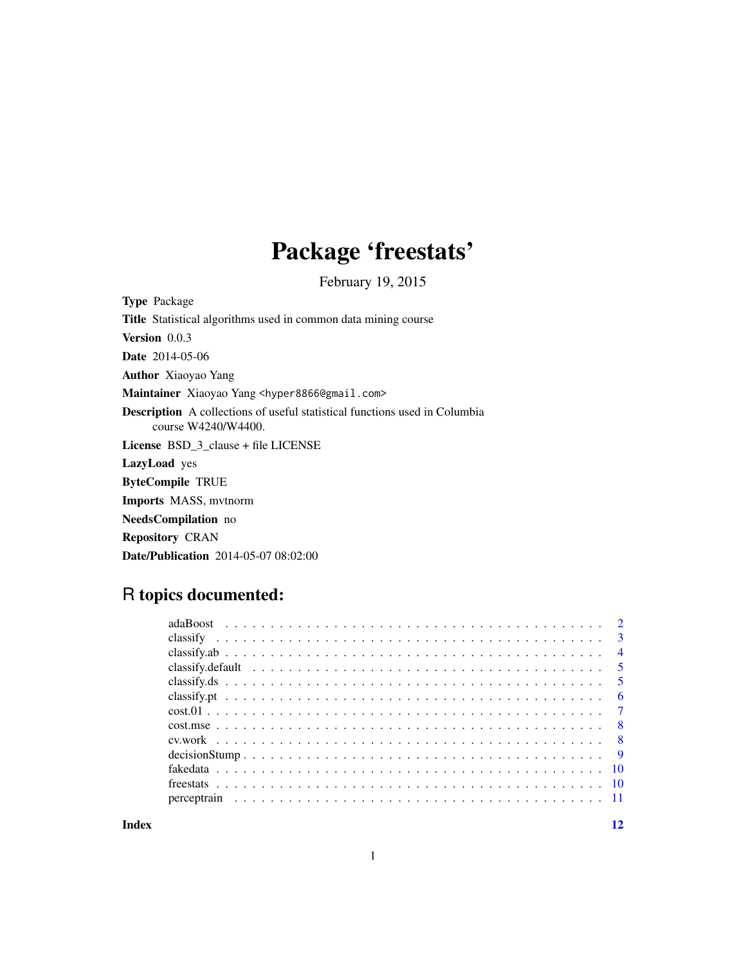## Package 'freestats'

February 19, 2015

Type Package Title Statistical algorithms used in common data mining course Version 0.0.3 Date 2014-05-06 Author Xiaoyao Yang Maintainer Xiaoyao Yang <hyper8866@gmail.com> Description A collections of useful statistical functions used in Columbia course W4240/W4400. License BSD\_3\_clause + file LICENSE LazyLoad yes ByteCompile TRUE Imports MASS, mvtnorm NeedsCompilation no Repository CRAN Date/Publication 2014-05-07 08:02:00

## R topics documented:

**Index** [12](#page-11-0)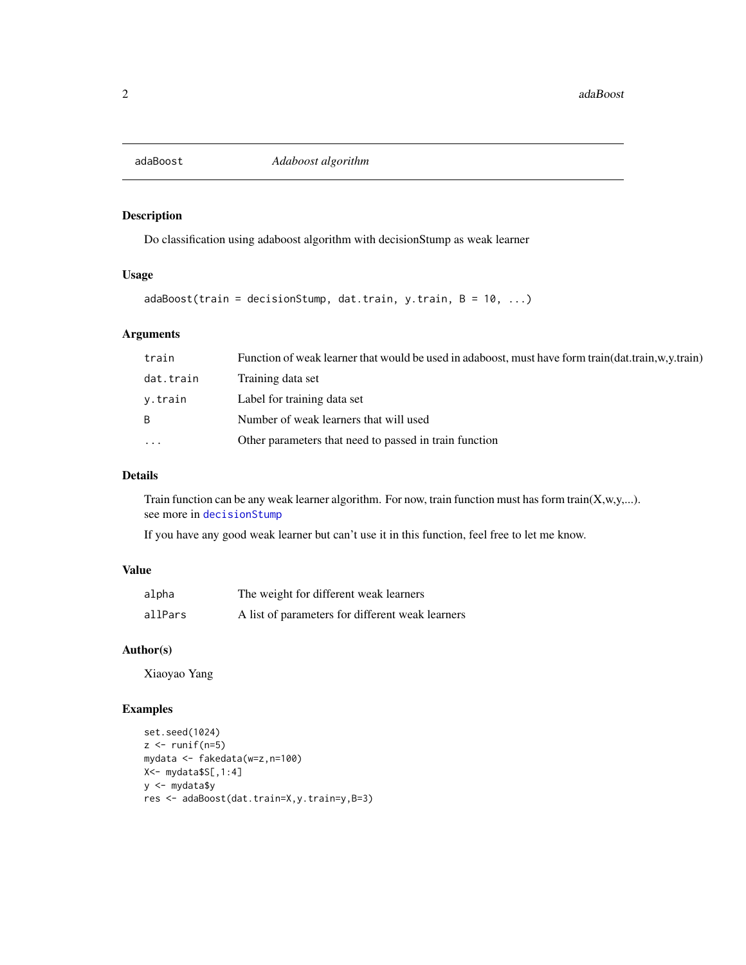<span id="page-1-1"></span><span id="page-1-0"></span>

Do classification using adaboost algorithm with decisionStump as weak learner

## Usage

```
adaboot(train = decisionStump, dat.train, y.train, B = 10, ...)
```
## Arguments

| train     | Function of weak learner that would be used in adaboost, must have form train(dat.train,w,y.train) |
|-----------|----------------------------------------------------------------------------------------------------|
| dat.train | Training data set                                                                                  |
| v.train   | Label for training data set                                                                        |
| B.        | Number of weak learners that will used                                                             |
| $\ddots$  | Other parameters that need to passed in train function                                             |

## Details

Train function can be any weak learner algorithm. For now, train function must has form train(X,w,y,...). see more in [decisionStump](#page-8-1)

If you have any good weak learner but can't use it in this function, feel free to let me know.

### Value

| alpha   | The weight for different weak learners           |
|---------|--------------------------------------------------|
| allPars | A list of parameters for different weak learners |

## Author(s)

Xiaoyao Yang

```
set.seed(1024)
z \leftarrow runif(n=5)mydata <- fakedata(w=z,n=100)
X<- mydata$S[,1:4]
y <- mydata$y
res <- adaBoost(dat.train=X,y.train=y,B=3)
```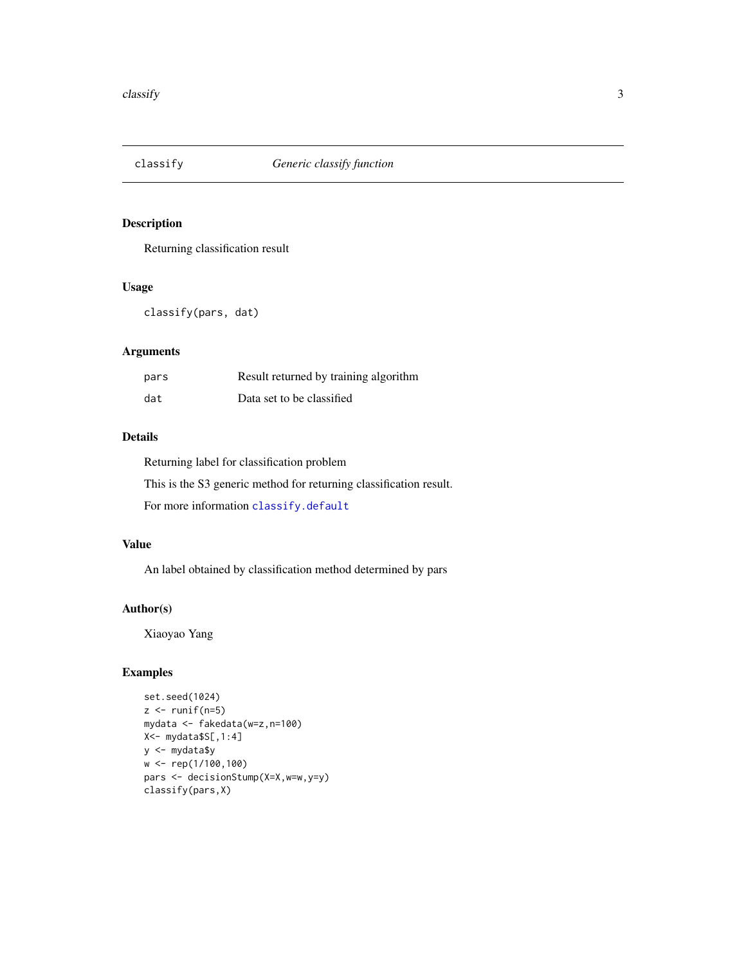<span id="page-2-1"></span><span id="page-2-0"></span>

Returning classification result

## Usage

classify(pars, dat)

## Arguments

| pars | Result returned by training algorithm |
|------|---------------------------------------|
| dat  | Data set to be classified             |

#### Details

Returning label for classification problem

This is the S3 generic method for returning classification result.

For more information [classify.default](#page-4-1)

## Value

An label obtained by classification method determined by pars

#### Author(s)

Xiaoyao Yang

```
set.seed(1024)
z \leftarrow runif(n=5)mydata <- fakedata(w=z,n=100)
X<- mydata$S[,1:4]
y <- mydata$y
w <- rep(1/100,100)
pars <- decisionStump(X=X,w=w,y=y)
classify(pars,X)
```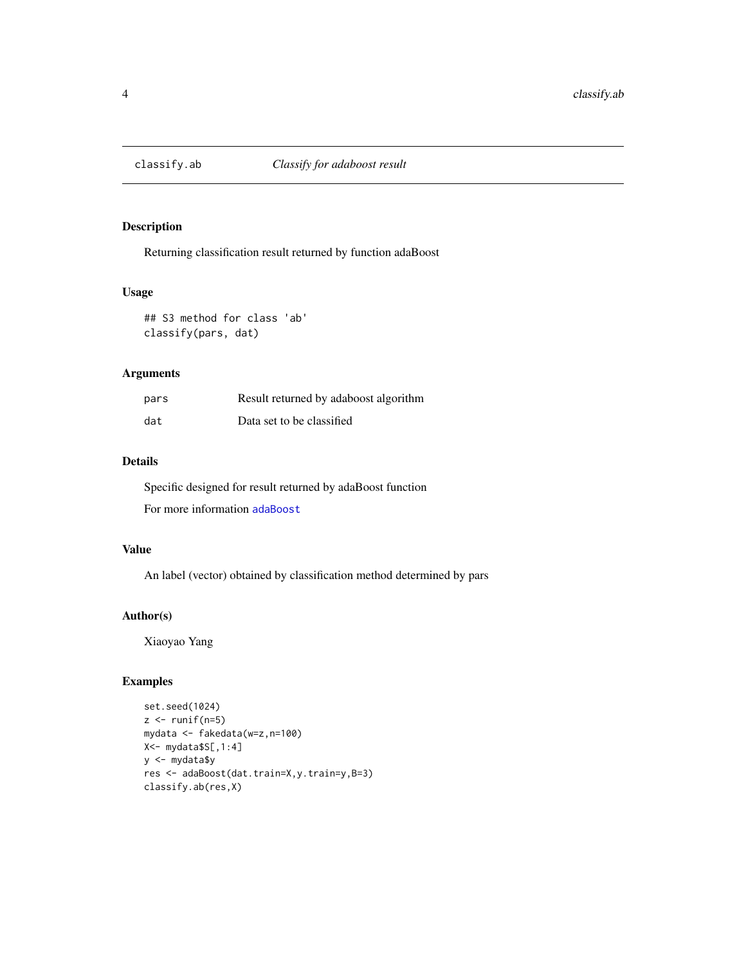<span id="page-3-0"></span>

Returning classification result returned by function adaBoost

#### Usage

## S3 method for class 'ab' classify(pars, dat)

## Arguments

| pars | Result returned by adaboost algorithm |
|------|---------------------------------------|
| dat  | Data set to be classified             |

## Details

Specific designed for result returned by adaBoost function

For more information [adaBoost](#page-1-1)

## Value

An label (vector) obtained by classification method determined by pars

## Author(s)

Xiaoyao Yang

```
set.seed(1024)
z \leftarrow runif(n=5)mydata <- fakedata(w=z,n=100)
X<- mydata$S[,1:4]
y <- mydata$y
res <- adaBoost(dat.train=X,y.train=y,B=3)
classify.ab(res,X)
```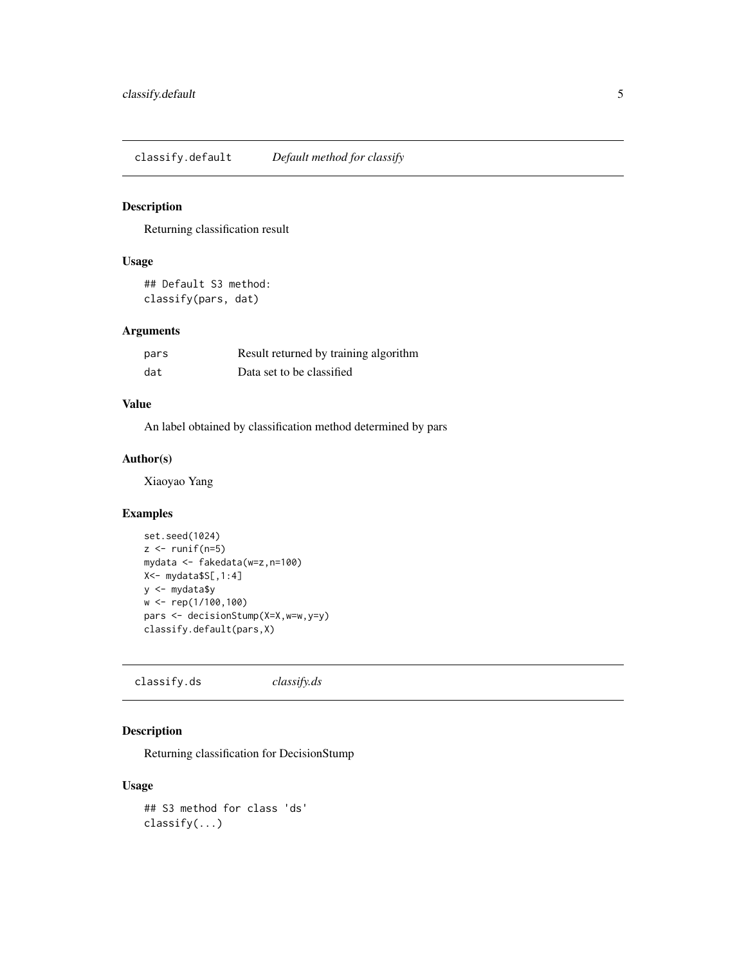<span id="page-4-1"></span><span id="page-4-0"></span>classify.default *Default method for classify*

#### Description

Returning classification result

## Usage

```
## Default S3 method:
classify(pars, dat)
```
## Arguments

| pars | Result returned by training algorithm |
|------|---------------------------------------|
| dat  | Data set to be classified             |

## Value

An label obtained by classification method determined by pars

#### Author(s)

Xiaoyao Yang

#### Examples

```
set.seed(1024)
z \leftarrow runif(n=5)mydata <- fakedata(w=z,n=100)
X<- mydata$S[,1:4]
y <- mydata$y
w <- rep(1/100,100)
pars <- decisionStump(X=X,w=w,y=y)
classify.default(pars,X)
```
classify.ds *classify.ds*

## Description

Returning classification for DecisionStump

## Usage

```
## S3 method for class 'ds'
classify(...)
```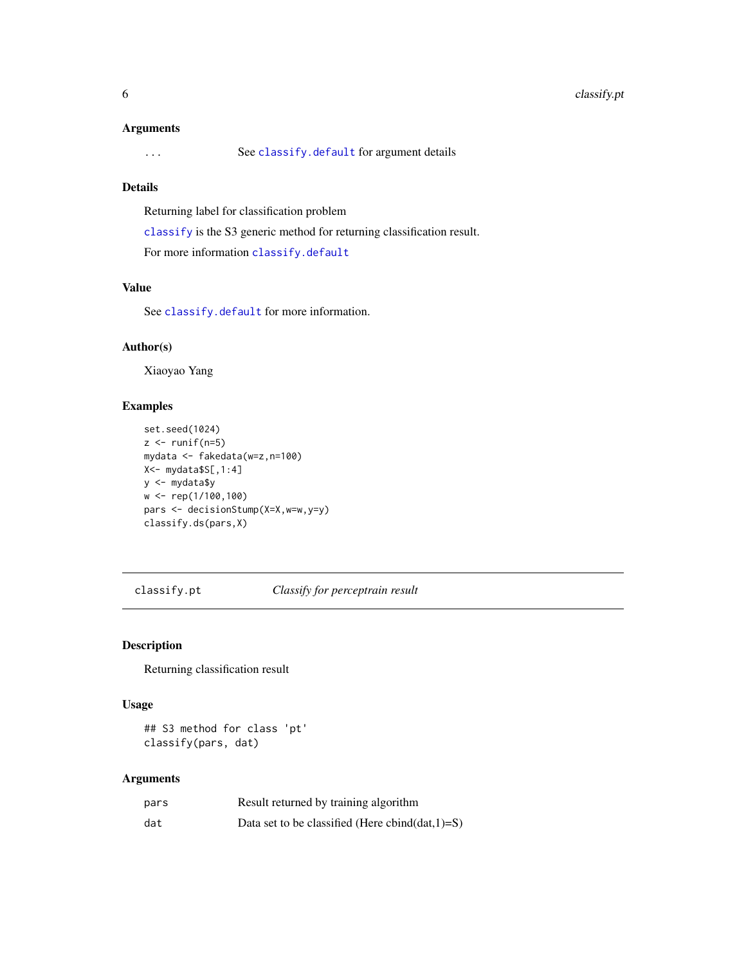#### <span id="page-5-0"></span>Arguments

... See [classify.default](#page-4-1) for argument details

## Details

Returning label for classification problem

[classify](#page-2-1) is the S3 generic method for returning classification result.

For more information [classify.default](#page-4-1)

## Value

See [classify.default](#page-4-1) for more information.

#### Author(s)

Xiaoyao Yang

## Examples

```
set.seed(1024)
z \leftarrow runif(n=5)mydata <- fakedata(w=z,n=100)
X<- mydata$S[,1:4]
y <- mydata$y
w <- rep(1/100,100)
pars <- decisionStump(X=X,w=w,y=y)
classify.ds(pars,X)
```
classify.pt *Classify for perceptrain result*

#### Description

Returning classification result

## Usage

## S3 method for class 'pt' classify(pars, dat)

#### Arguments

| pars | Result returned by training algorithm               |
|------|-----------------------------------------------------|
| dat  | Data set to be classified (Here cbind(dat, $1)=S$ ) |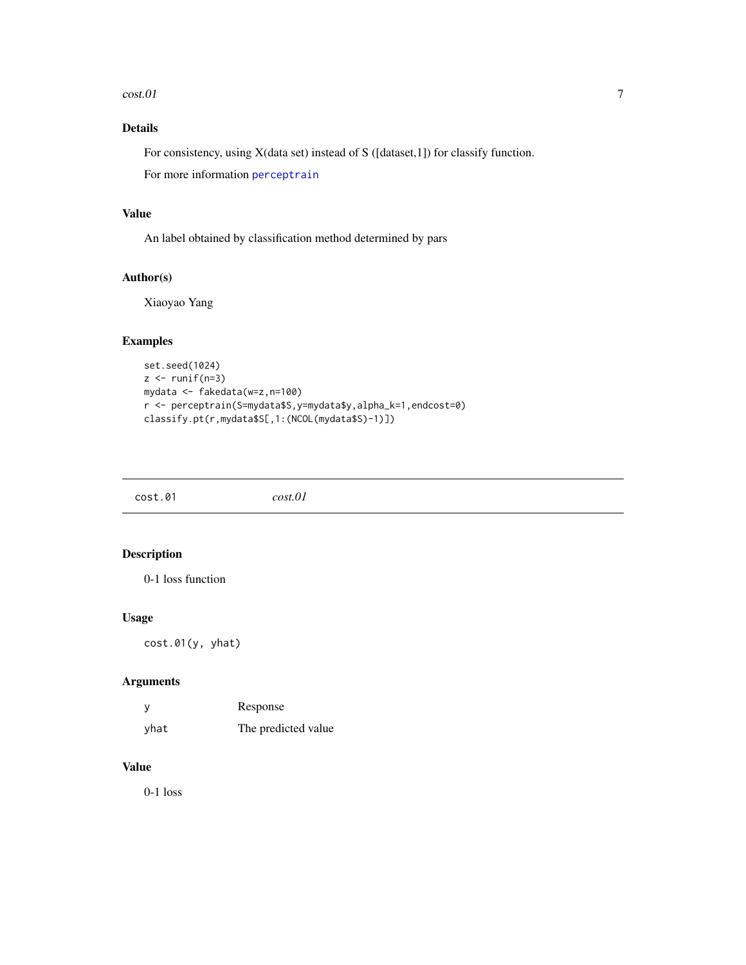#### <span id="page-6-0"></span> $\cosh 01$  7

## Details

For consistency, using X(data set) instead of S ([dataset,1]) for classify function.

For more information [perceptrain](#page-10-1)

#### Value

An label obtained by classification method determined by pars

## Author(s)

Xiaoyao Yang

## Examples

```
set.seed(1024)
z \leftarrow runif(n=3)mydata <- fakedata(w=z,n=100)
r <- perceptrain(S=mydata$S,y=mydata$y,alpha_k=1,endcost=0)
classify.pt(r,mydata$S[,1:(NCOL(mydata$S)-1)])
```

| cost.01 | cost.01 |
|---------|---------|
|         |         |

## Description

0-1 loss function

#### Usage

cost.01(y, yhat)

## Arguments

| - y  | Response            |
|------|---------------------|
| yhat | The predicted value |

## Value

0-1 loss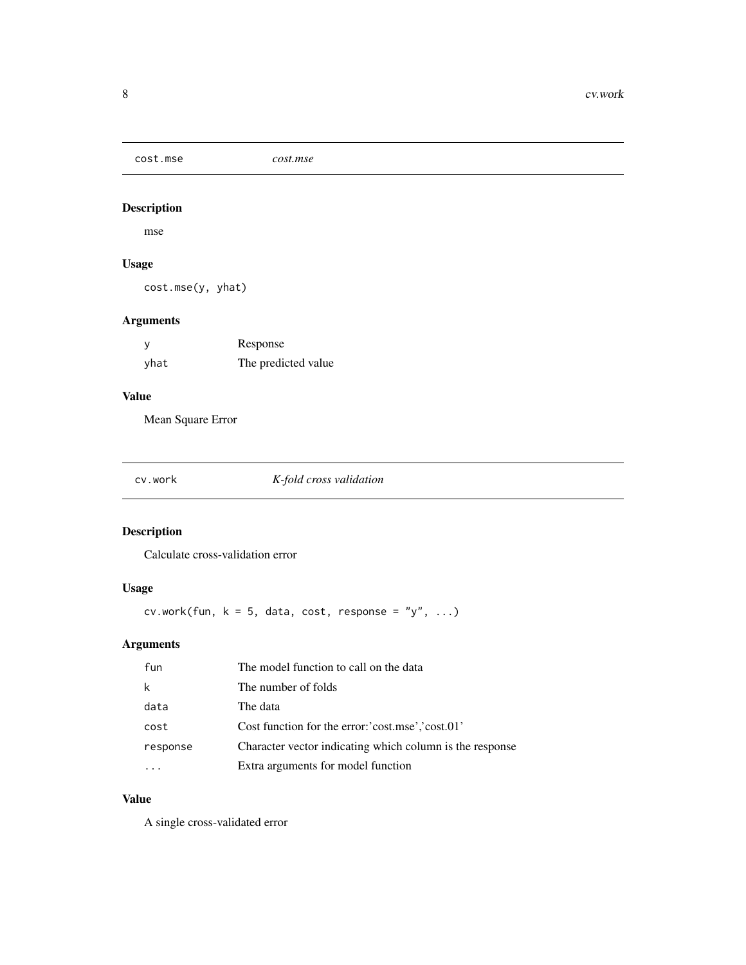<span id="page-7-0"></span>cost.mse *cost.mse*

## Description

mse

## Usage

cost.mse(y, yhat)

## Arguments

|      | Response            |
|------|---------------------|
| yhat | The predicted value |

## Value

Mean Square Error

cv.work *K-fold cross validation*

## Description

Calculate cross-validation error

## Usage

cv.work(fun,  $k = 5$ , data, cost, response = "y", ...)

## Arguments

| fun      | The model function to call on the data                   |
|----------|----------------------------------------------------------|
| k        | The number of folds                                      |
| data     | The data                                                 |
| cost     | Cost function for the error: 'cost.mse','cost.01'        |
| response | Character vector indicating which column is the response |
|          | Extra arguments for model function                       |

## Value

A single cross-validated error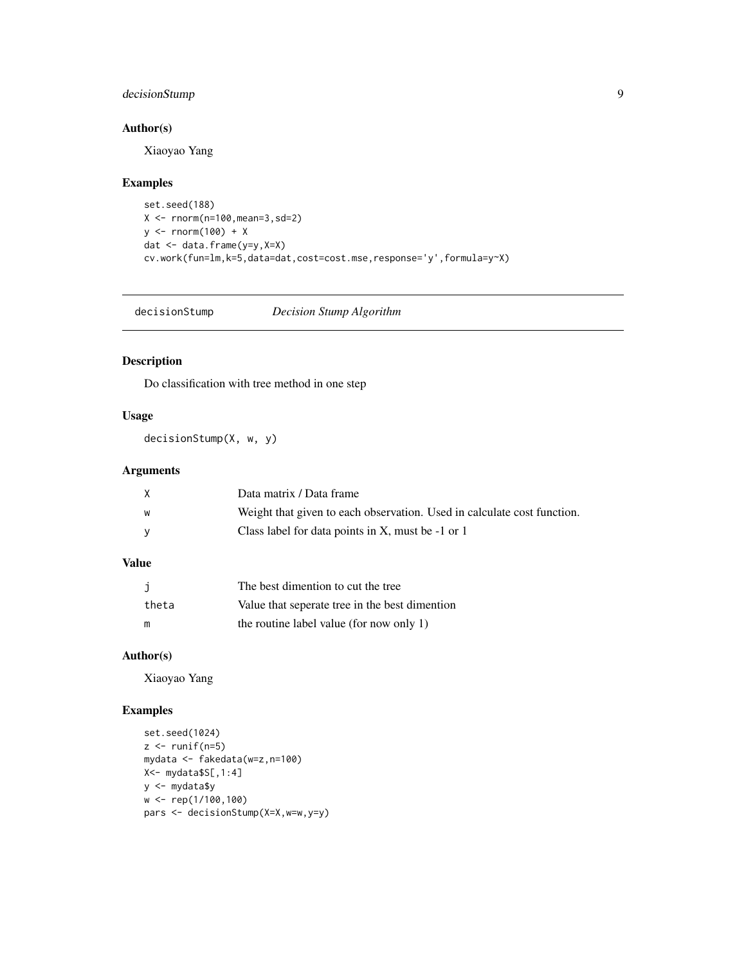## <span id="page-8-0"></span>decisionStump 9

## Author(s)

Xiaoyao Yang

## Examples

```
set.seed(188)
X <- rnorm(n=100,mean=3,sd=2)
y <- rnorm(100) + Xdat <- data.frame(y=y,X=X)
cv.work(fun=lm,k=5,data=dat,cost=cost.mse,response='y',formula=y~X)
```
<span id="page-8-1"></span>decisionStump *Decision Stump Algorithm*

## Description

Do classification with tree method in one step

## Usage

decisionStump(X, w, y)

### Arguments

|   | Data matrix / Data frame                                                |
|---|-------------------------------------------------------------------------|
| W | Weight that given to each observation. Used in calculate cost function. |
|   | Class label for data points in X, must be -1 or 1                       |

## Value

|       | The best dimention to cut the tree             |
|-------|------------------------------------------------|
| theta | Value that seperate tree in the best dimention |
| m     | the routine label value (for now only 1)       |

#### Author(s)

Xiaoyao Yang

```
set.seed(1024)
z \leftarrow runif(n=5)mydata <- fakedata(w=z,n=100)
X<- mydata$S[,1:4]
y <- mydata$y
w <- rep(1/100,100)
pars <- decisionStump(X=X,w=w,y=y)
```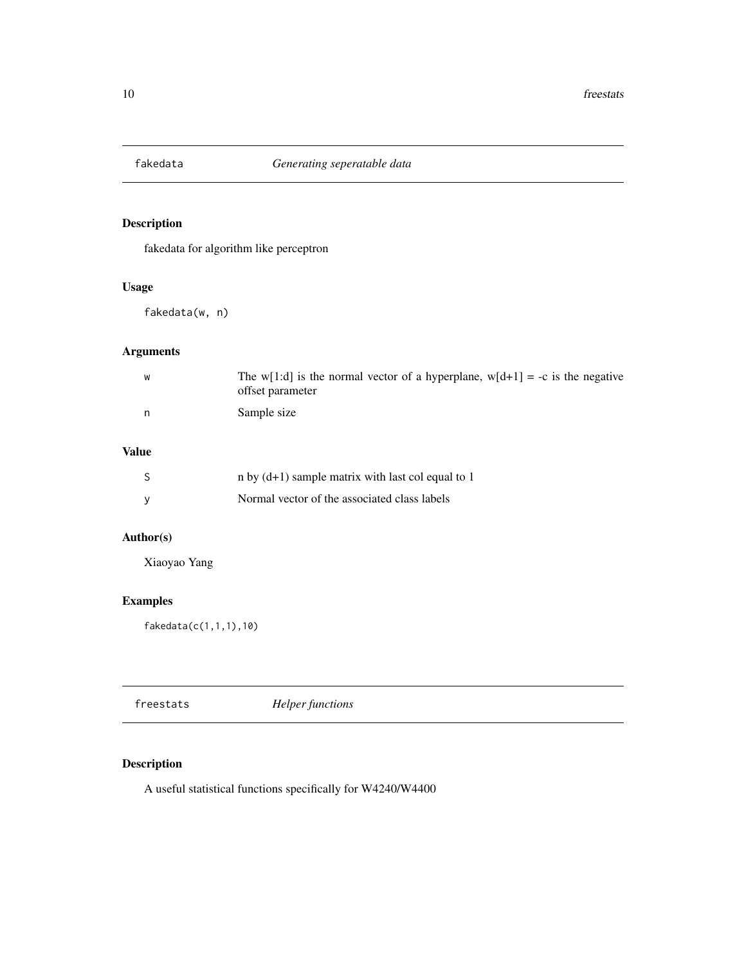<span id="page-9-1"></span><span id="page-9-0"></span>

fakedata for algorithm like perceptron

## Usage

fakedata(w, n)

## Arguments

| W | The w[1:d] is the normal vector of a hyperplane, w[d+1] = -c is the negative<br>offset parameter |
|---|--------------------------------------------------------------------------------------------------|
| n | Sample size                                                                                      |

## Value

|   | n by $(d+1)$ sample matrix with last col equal to 1 |
|---|-----------------------------------------------------|
| v | Normal vector of the associated class labels        |

## Author(s)

Xiaoyao Yang

## Examples

fakedata(c(1,1,1),10)

freestats *Helper functions*

## Description

A useful statistical functions specifically for W4240/W4400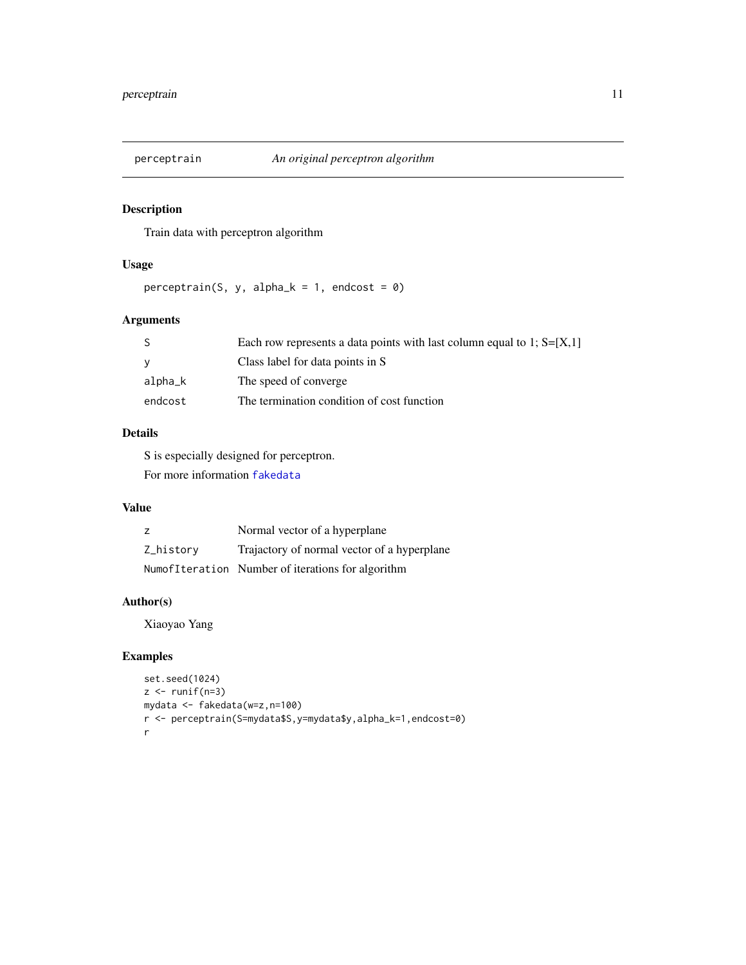<span id="page-10-1"></span><span id="page-10-0"></span>

Train data with perceptron algorithm

## Usage

perceptrain(S, y, alpha<sub>k</sub> = 1, endcost =  $0$ )

## Arguments

|         | Each row represents a data points with last column equal to 1; $S=[X,1]$ |
|---------|--------------------------------------------------------------------------|
|         | Class label for data points in S                                         |
| alpha_k | The speed of converge                                                    |
| endcost | The termination condition of cost function                               |

## Details

S is especially designed for perceptron.

For more information [fakedata](#page-9-1)

### Value

|           | Normal vector of a hyperplane                     |
|-----------|---------------------------------------------------|
| Z historv | Trajactory of normal vector of a hyperplane       |
|           | NumofIteration Number of iterations for algorithm |

## Author(s)

Xiaoyao Yang

```
set.seed(1024)
z \leftarrow runif(n=3)mydata <- fakedata(w=z,n=100)
r <- perceptrain(S=mydata$S,y=mydata$y,alpha_k=1,endcost=0)
r
```